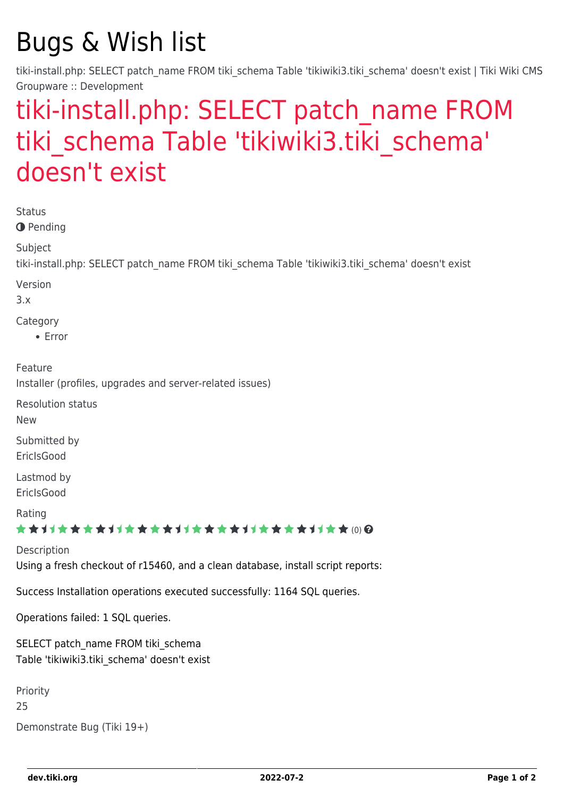# Bugs & Wish list

tiki-install.php: SELECT patch\_name FROM tiki\_schema Table 'tikiwiki3.tiki\_schema' doesn't exist | Tiki Wiki CMS Groupware :: Development

## [tiki-install.php: SELECT patch\\_name FROM](https://dev.tiki.org/item2117-tiki-install-php-SELECT-patch_name-FROM-tiki_schema-Table-tikiwiki3-tiki_schema-doesn-t-exist) tiki schema Table 'tikiwiki3.tiki schema' [doesn't exist](https://dev.tiki.org/item2117-tiki-install-php-SELECT-patch_name-FROM-tiki_schema-Table-tikiwiki3-tiki_schema-doesn-t-exist)

Status

**O** Pending

Subject

tiki-install.php: SELECT patch\_name FROM tiki\_schema Table 'tikiwiki3.tiki\_schema' doesn't exist

Version

3.x

Category

Error

Feature

Installer (profiles, upgrades and server-related issues)

Resolution status

New

Submitted by **EricIsGood** 

Lastmod by **EricIsGood** 

Rating

\*\*\*\*\*\*\*\*\*\*\*\*\*\*\*\*\*\*\*\*\*\*\*\*\*\*\*\*\*\*

Description Using a fresh checkout of r15460, and a clean database, install script reports:

Success Installation operations executed successfully: 1164 SQL queries.

Operations failed: 1 SQL queries.

SELECT patch\_name FROM tiki\_schema Table 'tikiwiki3.tiki\_schema' doesn't exist

```
Priority
25
Demonstrate Bug (Tiki 19+)
```